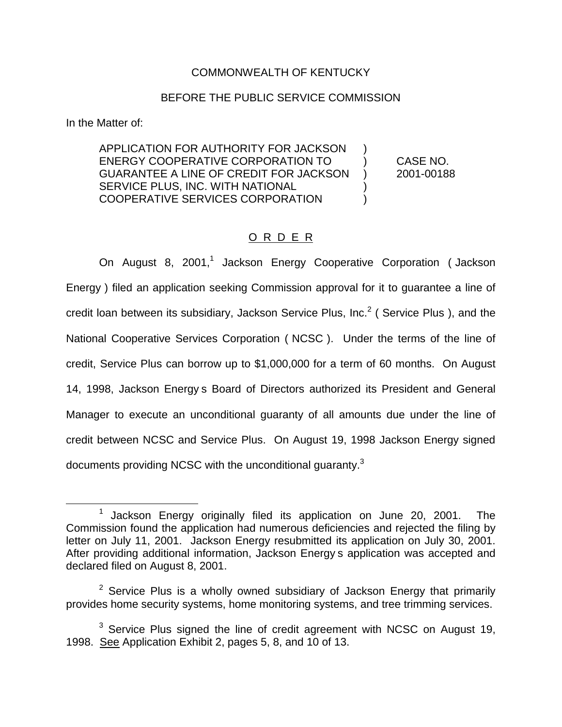## COMMONWEALTH OF KENTUCKY

## BEFORE THE PUBLIC SERVICE COMMISSION

In the Matter of:

APPLICATION FOR AUTHORITY FOR JACKSON ) ENERGY COOPERATIVE CORPORATION TO ) CASE NO. GUARANTEE A LINE OF CREDIT FOR JACKSON ) 2001-00188 SERVICE PLUS, INC. WITH NATIONAL  $\qquad \qquad$ ) COOPERATIVE SERVICES CORPORATION )

## O R D E R

On August 8, 2001,<sup>1</sup> Jackson Energy Cooperative Corporation ( Jackson Energy ) filed an application seeking Commission approval for it to guarantee a line of credit loan between its subsidiary, Jackson Service Plus, Inc.<sup>2</sup> (Service Plus), and the National Cooperative Services Corporation ( NCSC ). Under the terms of the line of credit, Service Plus can borrow up to \$1,000,000 for a term of 60 months. On August 14, 1998, Jackson Energy s Board of Directors authorized its President and General Manager to execute an unconditional guaranty of all amounts due under the line of credit between NCSC and Service Plus. On August 19, 1998 Jackson Energy signed documents providing NCSC with the unconditional quaranty.<sup>3</sup>

<sup>1</sup> Jackson Energy originally filed its application on June 20, 2001. The Commission found the application had numerous deficiencies and rejected the filing by letter on July 11, 2001. Jackson Energy resubmitted its application on July 30, 2001. After providing additional information, Jackson Energy s application was accepted and declared filed on August 8, 2001.

 $2$  Service Plus is a wholly owned subsidiary of Jackson Energy that primarily provides home security systems, home monitoring systems, and tree trimming services.

 $3$  Service Plus signed the line of credit agreement with NCSC on August 19, 1998. See Application Exhibit 2, pages 5, 8, and 10 of 13.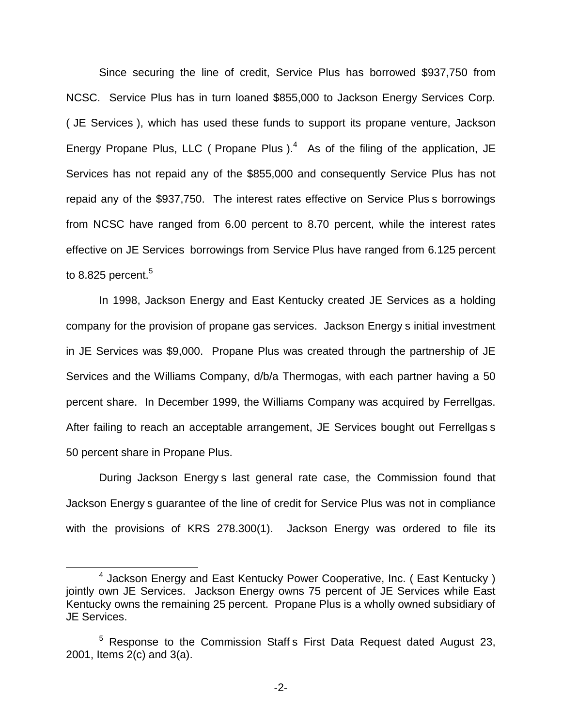Since securing the line of credit, Service Plus has borrowed \$937,750 from NCSC. Service Plus has in turn loaned \$855,000 to Jackson Energy Services Corp. ( JE Services ), which has used these funds to support its propane venture, Jackson Energy Propane Plus, LLC ( Propane Plus  $)$ .<sup>4</sup> As of the filing of the application, JE Services has not repaid any of the \$855,000 and consequently Service Plus has not repaid any of the \$937,750. The interest rates effective on Service Plus s borrowings from NCSC have ranged from 6.00 percent to 8.70 percent, while the interest rates effective on JE Services borrowings from Service Plus have ranged from 6.125 percent to 8.825 percent. $5$ 

In 1998, Jackson Energy and East Kentucky created JE Services as a holding company for the provision of propane gas services. Jackson Energy s initial investment in JE Services was \$9,000. Propane Plus was created through the partnership of JE Services and the Williams Company, d/b/a Thermogas, with each partner having a 50 percent share. In December 1999, the Williams Company was acquired by Ferrellgas. After failing to reach an acceptable arrangement, JE Services bought out Ferrellgas s 50 percent share in Propane Plus.

During Jackson Energy s last general rate case, the Commission found that Jackson Energy s guarantee of the line of credit for Service Plus was not in compliance with the provisions of KRS 278.300(1). Jackson Energy was ordered to file its

<sup>&</sup>lt;sup>4</sup> Jackson Energy and East Kentucky Power Cooperative, Inc. ( East Kentucky ) jointly own JE Services. Jackson Energy owns 75 percent of JE Services while East Kentucky owns the remaining 25 percent. Propane Plus is a wholly owned subsidiary of JE Services.

 $5$  Response to the Commission Staff s First Data Request dated August 23, 2001, Items 2(c) and 3(a).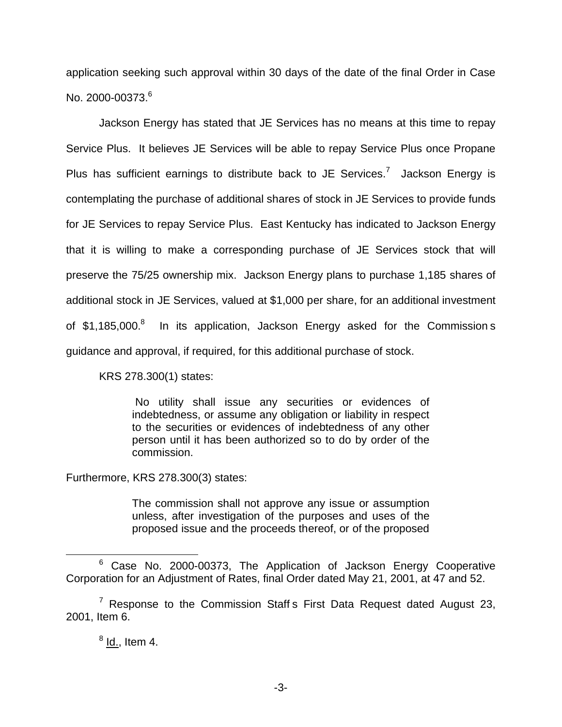application seeking such approval within 30 days of the date of the final Order in Case No. 2000-00373.<sup>6</sup>

Jackson Energy has stated that JE Services has no means at this time to repay Service Plus. It believes JE Services will be able to repay Service Plus once Propane Plus has sufficient earnings to distribute back to JE Services.<sup>7</sup> Jackson Energy is contemplating the purchase of additional shares of stock in JE Services to provide funds for JE Services to repay Service Plus. East Kentucky has indicated to Jackson Energy that it is willing to make a corresponding purchase of JE Services stock that will preserve the 75/25 ownership mix. Jackson Energy plans to purchase 1,185 shares of additional stock in JE Services, valued at \$1,000 per share, for an additional investment of \$1,185,000.<sup>8</sup> In its application, Jackson Energy asked for the Commission s guidance and approval, if required, for this additional purchase of stock.

KRS 278.300(1) states:

No utility shall issue any securities or evidences of indebtedness, or assume any obligation or liability in respect to the securities or evidences of indebtedness of any other person until it has been authorized so to do by order of the commission.

Furthermore, KRS 278.300(3) states:

The commission shall not approve any issue or assumption unless, after investigation of the purposes and uses of the proposed issue and the proceeds thereof, or of the proposed

 $<sup>8</sup>$  Id., Item 4.</sup>

<sup>&</sup>lt;sup>6</sup> Case No. 2000-00373, The Application of Jackson Energy Cooperative Corporation for an Adjustment of Rates, final Order dated May 21, 2001, at 47 and 52.

 $7$  Response to the Commission Staff s First Data Request dated August 23, 2001, Item 6.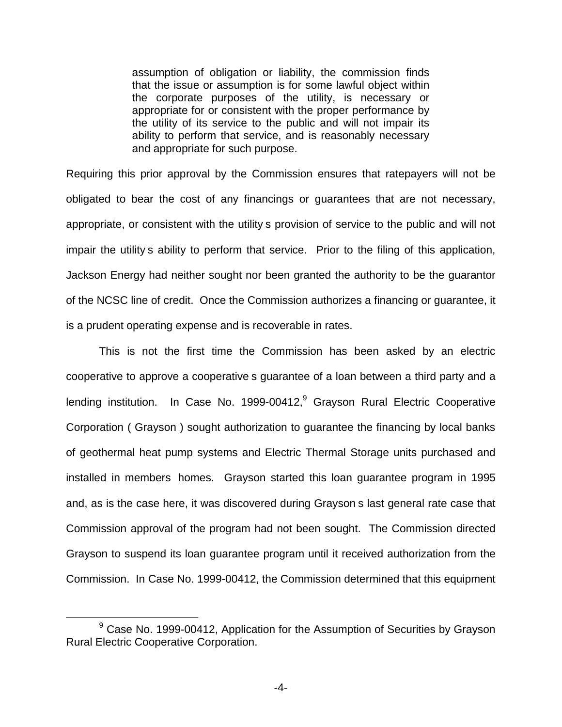assumption of obligation or liability, the commission finds that the issue or assumption is for some lawful object within the corporate purposes of the utility, is necessary or appropriate for or consistent with the proper performance by the utility of its service to the public and will not impair its ability to perform that service, and is reasonably necessary and appropriate for such purpose.

Requiring this prior approval by the Commission ensures that ratepayers will not be obligated to bear the cost of any financings or guarantees that are not necessary, appropriate, or consistent with the utility s provision of service to the public and will not impair the utility s ability to perform that service. Prior to the filing of this application, Jackson Energy had neither sought nor been granted the authority to be the guarantor of the NCSC line of credit. Once the Commission authorizes a financing or guarantee, it is a prudent operating expense and is recoverable in rates.

This is not the first time the Commission has been asked by an electric cooperative to approve a cooperative s guarantee of a loan between a third party and a lending institution. In Case No. 1999-00412,<sup>9</sup> Grayson Rural Electric Cooperative Corporation ( Grayson ) sought authorization to guarantee the financing by local banks of geothermal heat pump systems and Electric Thermal Storage units purchased and installed in members homes. Grayson started this loan guarantee program in 1995 and, as is the case here, it was discovered during Grayson s last general rate case that Commission approval of the program had not been sought. The Commission directed Grayson to suspend its loan guarantee program until it received authorization from the Commission. In Case No. 1999-00412, the Commission determined that this equipment

<sup>&</sup>lt;sup>9</sup> Case No. 1999-00412, Application for the Assumption of Securities by Grayson Rural Electric Cooperative Corporation.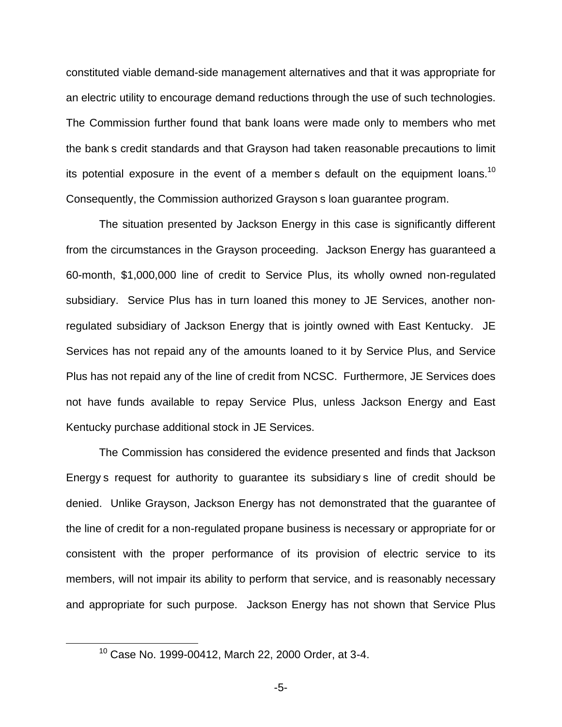constituted viable demand-side management alternatives and that it was appropriate for an electric utility to encourage demand reductions through the use of such technologies. The Commission further found that bank loans were made only to members who met the bank s credit standards and that Grayson had taken reasonable precautions to limit its potential exposure in the event of a member s default on the equipment loans.<sup>10</sup> Consequently, the Commission authorized Grayson s loan guarantee program.

The situation presented by Jackson Energy in this case is significantly different from the circumstances in the Grayson proceeding. Jackson Energy has guaranteed a 60-month, \$1,000,000 line of credit to Service Plus, its wholly owned non-regulated subsidiary. Service Plus has in turn loaned this money to JE Services, another nonregulated subsidiary of Jackson Energy that is jointly owned with East Kentucky. JE Services has not repaid any of the amounts loaned to it by Service Plus, and Service Plus has not repaid any of the line of credit from NCSC. Furthermore, JE Services does not have funds available to repay Service Plus, unless Jackson Energy and East Kentucky purchase additional stock in JE Services.

The Commission has considered the evidence presented and finds that Jackson Energy s request for authority to guarantee its subsidiary s line of credit should be denied. Unlike Grayson, Jackson Energy has not demonstrated that the guarantee of the line of credit for a non-regulated propane business is necessary or appropriate for or consistent with the proper performance of its provision of electric service to its members, will not impair its ability to perform that service, and is reasonably necessary and appropriate for such purpose. Jackson Energy has not shown that Service Plus

<sup>10</sup> Case No. 1999-00412, March 22, 2000 Order, at 3-4.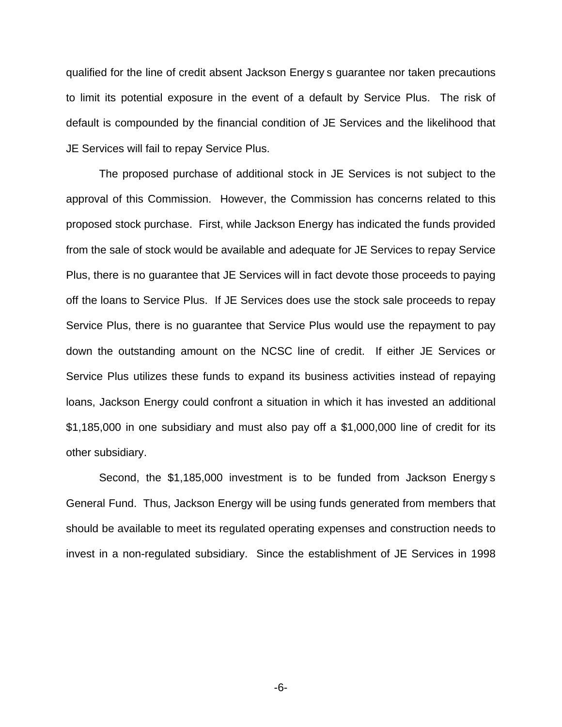qualified for the line of credit absent Jackson Energy s guarantee nor taken precautions to limit its potential exposure in the event of a default by Service Plus. The risk of default is compounded by the financial condition of JE Services and the likelihood that JE Services will fail to repay Service Plus.

The proposed purchase of additional stock in JE Services is not subject to the approval of this Commission. However, the Commission has concerns related to this proposed stock purchase. First, while Jackson Energy has indicated the funds provided from the sale of stock would be available and adequate for JE Services to repay Service Plus, there is no guarantee that JE Services will in fact devote those proceeds to paying off the loans to Service Plus. If JE Services does use the stock sale proceeds to repay Service Plus, there is no guarantee that Service Plus would use the repayment to pay down the outstanding amount on the NCSC line of credit. If either JE Services or Service Plus utilizes these funds to expand its business activities instead of repaying loans, Jackson Energy could confront a situation in which it has invested an additional \$1,185,000 in one subsidiary and must also pay off a \$1,000,000 line of credit for its other subsidiary.

Second, the \$1,185,000 investment is to be funded from Jackson Energy s General Fund. Thus, Jackson Energy will be using funds generated from members that should be available to meet its regulated operating expenses and construction needs to invest in a non-regulated subsidiary. Since the establishment of JE Services in 1998

-6-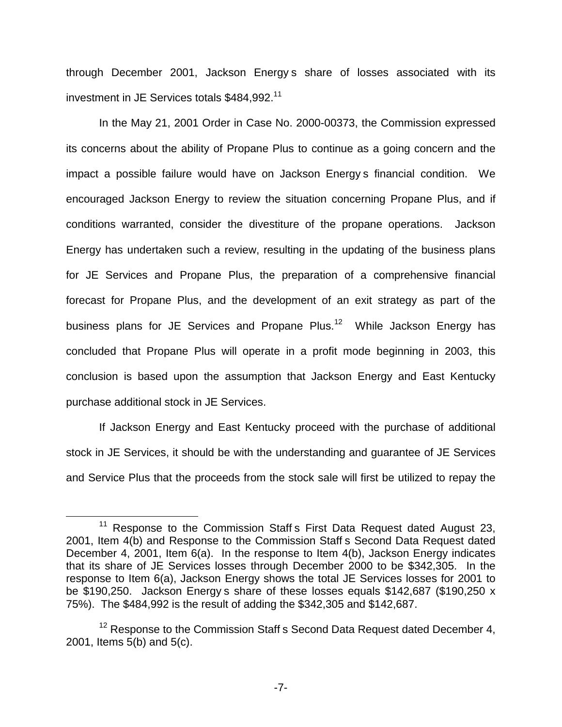through December 2001, Jackson Energy s share of losses associated with its investment in JE Services totals \$484,992.<sup>11</sup>

In the May 21, 2001 Order in Case No. 2000-00373, the Commission expressed its concerns about the ability of Propane Plus to continue as a going concern and the impact a possible failure would have on Jackson Energy s financial condition. We encouraged Jackson Energy to review the situation concerning Propane Plus, and if conditions warranted, consider the divestiture of the propane operations. Jackson Energy has undertaken such a review, resulting in the updating of the business plans for JE Services and Propane Plus, the preparation of a comprehensive financial forecast for Propane Plus, and the development of an exit strategy as part of the business plans for JE Services and Propane Plus.<sup>12</sup> While Jackson Energy has concluded that Propane Plus will operate in a profit mode beginning in 2003, this conclusion is based upon the assumption that Jackson Energy and East Kentucky purchase additional stock in JE Services.

If Jackson Energy and East Kentucky proceed with the purchase of additional stock in JE Services, it should be with the understanding and guarantee of JE Services and Service Plus that the proceeds from the stock sale will first be utilized to repay the

 $11$  Response to the Commission Staff s First Data Request dated August 23, 2001, Item 4(b) and Response to the Commission Staff s Second Data Request dated December 4, 2001, Item 6(a). In the response to Item 4(b), Jackson Energy indicates that its share of JE Services losses through December 2000 to be \$342,305. In the response to Item 6(a), Jackson Energy shows the total JE Services losses for 2001 to be \$190,250. Jackson Energy s share of these losses equals \$142,687 (\$190,250 x 75%). The \$484,992 is the result of adding the \$342,305 and \$142,687.

 $12$  Response to the Commission Staff s Second Data Request dated December 4, 2001, Items 5(b) and 5(c).